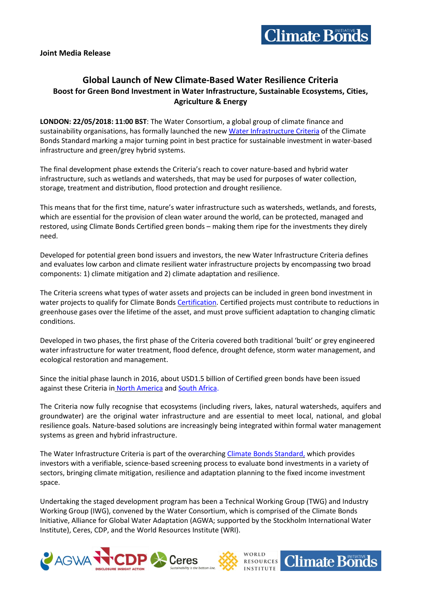

# **Global Launch of New Climate-Based Water Resilience Criteria Boost for Green Bond Investment in Water Infrastructure, Sustainable Ecosystems, Cities, Agriculture & Energy**

**LONDON: 22/05/2018: 11:00 BST**: The Water Consortium, a global group of climate finance and sustainability organisations, has formally launched the new Water [Infrastructure](https://www.climatebonds.net/standard/water) Criteria of the Climate Bonds Standard marking a major turning point in best practice for sustainable investment in water-based infrastructure and green/grey hybrid systems.

The final development phase extends the Criteria's reach to cover nature-based and hybrid water infrastructure, such as wetlands and watersheds, that may be used for purposes of water collection, storage, treatment and distribution, flood protection and drought resilience.

This means that for the first time, nature's water infrastructure such as watersheds, wetlands, and forests, which are essential for the provision of clean water around the world, can be protected, managed and restored, using Climate Bonds Certified green bonds – making them ripe for the investments they direly need.

Developed for potential green bond issuers and investors, the new Water Infrastructure Criteria defines and evaluates low carbon and climate resilient water infrastructure projects by encompassing two broad components: 1) climate mitigation and 2) climate adaptation and resilience.

The Criteria screens what types of water assets and projects can be included in green bond investment in water projects to qualify for Climate Bonds [Certification.](https://www.climatebonds.net/certification) Certified projects must contribute to reductions in greenhouse gases over the lifetime of the asset, and must prove sufficient adaptation to changing climatic conditions.

Developed in two phases, the first phase of the Criteria covered both traditional 'built' or grey engineered water infrastructure for water treatment, flood defence, drought defence, storm water management, and ecological restoration and management.

Since the initial phase launch in 2016, about USD1.5 billion of Certified green bonds have been issued against these Criteria in North [America](https://www.reuters.com/article/markets-municipals-deals/san-francisco-public-utilities-commission-to-issue-green-bonds-idUSL2N1831WM) and South [Africa.](http://www.capetown.gov.za/Media-and-news/Green%20pays%20City)

The Criteria now fully recognise that ecosystems (including rivers, lakes, natural watersheds, aquifers and groundwater) are the original water infrastructure and are essential to meet local, national, and global resilience goals. Nature-based solutions are increasingly being integrated within formal water management systems as green and hybrid infrastructure.

The Water Infrastructure Criteria is part of the overarching Climate Bonds [Standard,](https://www.climatebonds.net/standards/about) which provides investors with a verifiable, science-based screening process to evaluate bond investments in a variety of sectors, bringing climate mitigation, resilience and adaptation planning to the fixed income investment space.

Undertaking the staged development program has been a Technical Working Group (TWG) and Industry Working Group (IWG), convened by the Water Consortium, which is comprised of the Climate Bonds Initiative, Alliance for Global Water Adaptation (AGWA; supported by the Stockholm International Water Institute), Ceres, CDP, and the World Resources Institute (WRI).

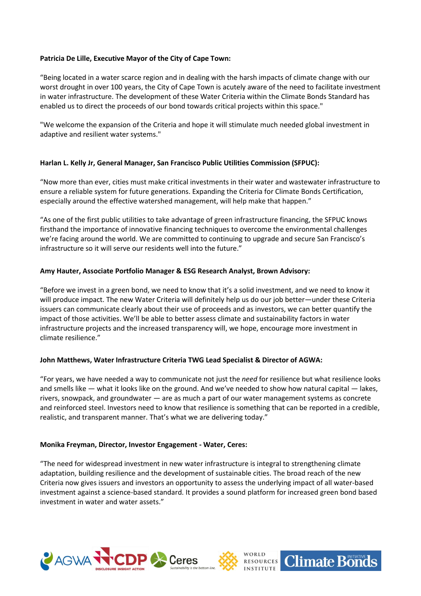# **Patricia De Lille, Executive Mayor of the City of Cape Town:**

"Being located in a water scarce region and in dealing with the harsh impacts of climate change with our worst drought in over 100 years, the City of Cape Town is acutely aware of the need to facilitate investment in water infrastructure. The development of these Water Criteria within the Climate Bonds Standard has enabled us to direct the proceeds of our bond towards critical projects within this space."

"We welcome the expansion of the Criteria and hope it will stimulate much needed global investment in adaptive and resilient water systems."

# **Harlan L. Kelly Jr, General Manager, San Francisco Public Utilities Commission (SFPUC):**

"Now more than ever, cities must make critical investments in their water and wastewater infrastructure to ensure a reliable system for future generations. Expanding the Criteria for Climate Bonds Certification, especially around the effective watershed management, will help make that happen."

"As one of the first public utilities to take advantage of green infrastructure financing, the SFPUC knows firsthand the importance of innovative financing techniques to overcome the environmental challenges we're facing around the world. We are committed to continuing to upgrade and secure San Francisco's infrastructure so it will serve our residents well into the future."

# **Amy Hauter, Associate Portfolio Manager & ESG Research Analyst, Brown Advisory:**

"Before we invest in a green bond, we need to know that it's a solid investment, and we need to know it will produce impact. The new Water Criteria will definitely help us do our job better—under these Criteria issuers can communicate clearly about their use of proceeds and as investors, we can better quantify the impact of those activities. We'll be able to better assess climate and sustainability factors in water infrastructure projects and the increased transparency will, we hope, encourage more investment in climate resilience."

# **John Matthews, Water Infrastructure Criteria TWG Lead Specialist & Director of AGWA:**

"For years, we have needed a way to communicate not just the *need* for resilience but what resilience looks and smells like — what it looks like on the ground. And we've needed to show how natural capital — lakes, rivers, snowpack, and groundwater — are as much a part of our water management systems as concrete and reinforced steel. Investors need to know that resilience is something that can be reported in a credible, realistic, and transparent manner. That's what we are delivering today."

# **Monika Freyman, Director, Investor Engagement - Water, Ceres:**

"The need for widespread investment in new water infrastructure is integral to strengthening climate adaptation, building resilience and the development of sustainable cities. The broad reach of the new Criteria now gives issuers and investors an opportunity to assess the underlying impact of all water-based investment against a science-based standard. It provides a sound platform for increased green bond based investment in water and water assets."





**Climate Bonds**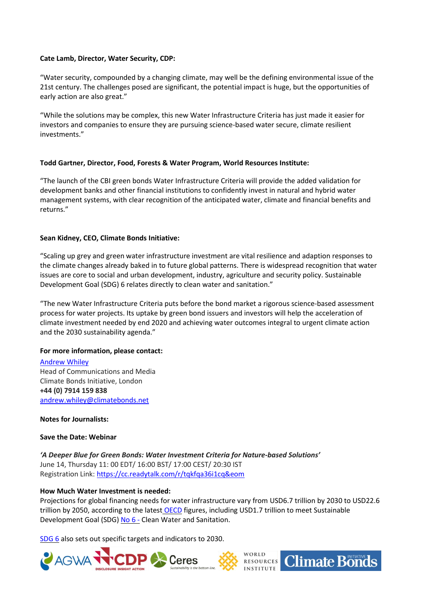## **Cate Lamb, Director, Water Security, CDP:**

"Water security, compounded by a changing climate, may well be the defining environmental issue of the 21st century. The challenges posed are significant, the potential impact is huge, but the opportunities of early action are also great."

"While the solutions may be complex, this new Water Infrastructure Criteria has just made it easier for investors and companies to ensure they are pursuing science-based water secure, climate resilient investments."

## **Todd Gartner, Director, Food, Forests & Water Program, World Resources Institute:**

"The launch of the CBI green bonds Water Infrastructure Criteria will provide the added validation for development banks and other financial institutions to confidently invest in natural and hybrid water management systems, with clear recognition of the anticipated water, climate and financial benefits and returns."

## **Sean Kidney, CEO, Climate Bonds Initiative:**

"Scaling up grey and green water infrastructure investment are vital resilience and adaption responses to the climate changes already baked in to future global patterns. There is widespread recognition that water issues are core to social and urban development, industry, agriculture and security policy. Sustainable Development Goal (SDG) 6 relates directly to clean water and sanitation."

"The new Water Infrastructure Criteria puts before the bond market a rigorous science-based assessment process for water projects. Its uptake by green bond issuers and investors will help the acceleration of climate investment needed by end 2020 and achieving water outcomes integral to urgent climate action and the 2030 sustainability agenda."

## **For more information, please contact:**

[Andrew](mailto:andrew@climatebonds.net) Whiley Head of Communications and Media Climate Bonds Initiative, London **+44 (0) 7914 159 838** [andrew.whiley@climatebonds.net](mailto:andrew.whiley@climatebonds.net)

## **Notes for Journalists:**

**AGWA** 

## **Save the Date: Webinar**

*'A Deeper Blue for Green Bonds: Water Investment Criteria for Nature-based Solutions'* June 14, Thursday 11: 00 EDT/ 16:00 BST/ 17:00 CEST/ 20:30 IST Registration Link: <https://cc.readytalk.com/r/tqkfqa36i1cq&eom>

Ceres

## **How Much Water Investment is needed:**

Projections for global financing needs for water infrastructure vary from USD6.7 trillion by 2030 to USD22.6 trillion by 2050, according to the latest [OECD](https://issuu.com/oecd.publishing/docs/policy-paper-financing-water-invest/4) figures, including USD1.7 trillion to meet Sustainable Development Goal (SDG) [No](https://sustainabledevelopment.un.org/sdg6) 6 - Clean Water and Sanitation.

WORLD

**RESOURCES** 

**Climate Bonds** 

[SDG](https://sustainabledevelopment.un.org/sdg6) 6 also sets out specific targets and indicators to 2030.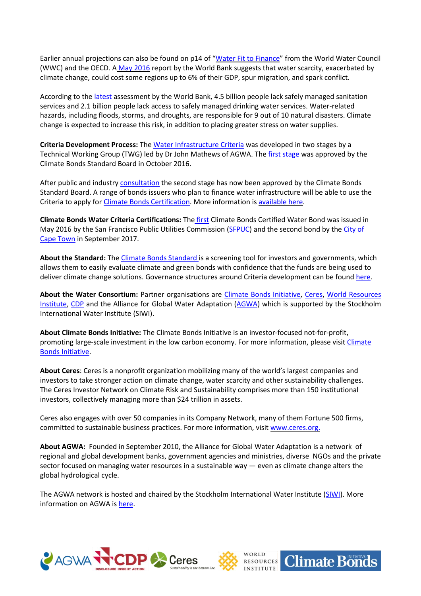Earlier annual projections can also be found on p14 of "Water Fit to [Finance](http://www.worldwatercouncil.org/sites/default/files/2017-10/7th_world_water_forum_-_Daegu-Gyeongbuk_-_Republic_of_Korea_-_Water_Fit_to_Finance.pdf)" from the World Water Council (WWC) and the OECD. A May [2016](http://www.worldbank.org/en/topic/water/publication/high-and-dry-climate-change-water-and-the-economy) report by the World Bank suggests that water scarcity, exacerbated by climate change, could cost some regions up to 6% of their GDP, spur migration, and spark conflict.

According to the [latest](http://www.worldbank.org/en/topic/water/overview) assessment by the World Bank, 4.5 billion people lack safely managed sanitation services and 2.1 billion people lack access to safely managed drinking water services. Water-related hazards, including floods, storms, and droughts, are responsible for 9 out of 10 natural disasters. Climate change is expected to increase this risk, in addition to placing greater stress on water supplies.

**Criteria Development Process:** The Water [Infrastructure](https://www.climatebonds.net/standard/water) Criteria was developed in two stages by a Technical Working Group (TWG) led by Dr John Mathews of AGWA. The *first [stage](https://www.climatebonds.net/2016/10/climate-standards-board-approves-new-criteria-climate-resilient-water-bonds-science-based)* was approved by the Climate Bonds Standard Board in October 2016.

After public and industry [consultation](https://www.climatebonds.net/2016/06/launch-water-technical-working-group-phase-ii-developing-criteria-water-related-nature-based) the second stage has now been approved by the Climate Bonds Standard Board. A range of bonds issuers who plan to finance water infrastructure will be able to use the Criteria to apply for Climate Bonds [Certification.](https://www.climatebonds.net/standards/certification) More information is [available](https://www.climatebonds.net/standard/water) here.

**Climate Bonds Water Criteria Certifications:** The [first](https://www.climatebonds.net/2016/05/san-francisco-public-utilities-commission-sfpuc-issues-world%25E2%2580%2599s-first-%25E2%2580%2598climate-certified%25E2%2580%2599) Climate Bonds Certified Water Bond was issued in May 2016 by the San Francisco Public Utilities Commission [\(SFPUC\)](http://www.reuters.com/article/markets-municipals-deals/san-francisco-public-utilities-commission-to-issue-green-bonds-idUSL2N1831WM) and the second bond by the [City](http://www.capetown.gov.za/media-and-news/Green%2520pays%2520City) of Cape [Town](http://www.capetown.gov.za/media-and-news/Green%2520pays%2520City) in September 2017.

**About the Standard:** The Climate Bonds [Standard](http://www.climatebonds.net/standards) is a screening tool for investors and governments, which allows them to easily evaluate climate and green bonds with confidence that the funds are being used to deliver climate change solutions. Governance structures around Criteria development can be found [here.](http://www.climatebonds.net/standards/about/governance)

**About the Water Consortium:** Partner organisations are Climate Bonds [Initiative,](https://www.climatebonds.net/) [Ceres,](http://www.ceres.org/) World [Resources](http://www.wri.org/) [Institute,](http://www.wri.org/) [CDP](https://www.cdp.net/en-US/Pages/HomePage.aspx) and the Alliance for Global Water Adaptation [\(AGWA\)](http://alliance4water.org/) which is supported by the Stockholm International Water Institute (SIWI).

**About Climate Bonds Initiative:** The Climate Bonds Initiative is an investor-focused not-for-profit, promoting large-scale investment in the low carbon economy. For more information, please visit [Climate](http://www.climatebonds.net/) Bonds [Initiative.](http://www.climatebonds.net/)

**About Ceres**: Ceres is a nonprofit organization mobilizing many of the world's largest companies and investors to take stronger action on climate change, water scarcity and other sustainability challenges. The Ceres Investor Network on Climate Risk and Sustainability comprises more than 150 institutional investors, collectively managing more than \$24 trillion in assets.

Ceres also engages with over 50 companies in its Company Network, many of them Fortune 500 firms, committed to sustainable business practices. For more information, visit [www.ceres.org.](http://www.ceres.org/)

**About AGWA:** Founded in September 2010, the Alliance for Global Water Adaptation is a network of regional and global development banks, government agencies and ministries, diverse NGOs and the private sector focused on managing water resources in a sustainable way — even as climate change alters the global hydrological cycle.

The AGWA network is hosted and chaired by the Stockholm International Water Institute [\(SIWI\)](http://www.siwi.org/). More information on AGWA is [here.](http://alliance4water.org/)





**Climate Bonds**